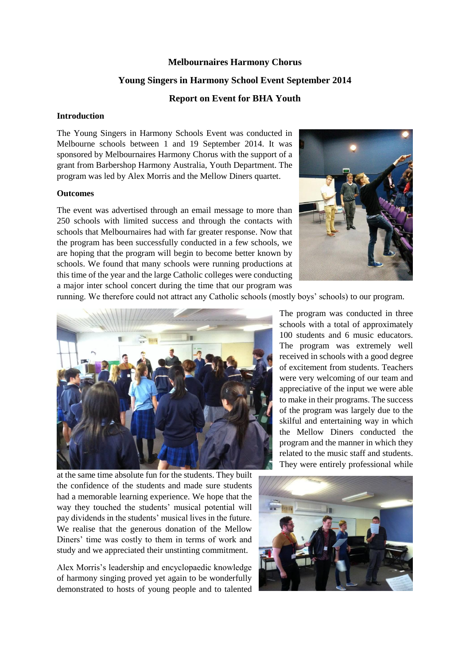### **Melbournaires Harmony Chorus**

## **Young Singers in Harmony School Event September 2014**

#### **Report on Event for BHA Youth**

#### **Introduction**

The Young Singers in Harmony Schools Event was conducted in Melbourne schools between 1 and 19 September 2014. It was sponsored by Melbournaires Harmony Chorus with the support of a grant from Barbershop Harmony Australia, Youth Department. The program was led by Alex Morris and the Mellow Diners quartet.

#### **Outcomes**

The event was advertised through an email message to more than 250 schools with limited success and through the contacts with schools that Melbournaires had with far greater response. Now that the program has been successfully conducted in a few schools, we are hoping that the program will begin to become better known by schools. We found that many schools were running productions at this time of the year and the large Catholic colleges were conducting a major inter school concert during the time that our program was



running. We therefore could not attract any Catholic schools (mostly boys' schools) to our program.



schools with a total of approximately 100 students and 6 music educators. The program was extremely well received in schools with a good degree of excitement from students. Teachers were very welcoming of our team and appreciative of the input we were able to make in their programs. The success of the program was largely due to the skilful and entertaining way in which the Mellow Diners conducted the program and the manner in which they related to the music staff and students. They were entirely professional while

The program was conducted in three

at the same time absolute fun for the students. They built the confidence of the students and made sure students had a memorable learning experience. We hope that the way they touched the students' musical potential will pay dividends in the students' musical lives in the future. We realise that the generous donation of the Mellow Diners' time was costly to them in terms of work and study and we appreciated their unstinting commitment.

Alex Morris's leadership and encyclopaedic knowledge of harmony singing proved yet again to be wonderfully demonstrated to hosts of young people and to talented

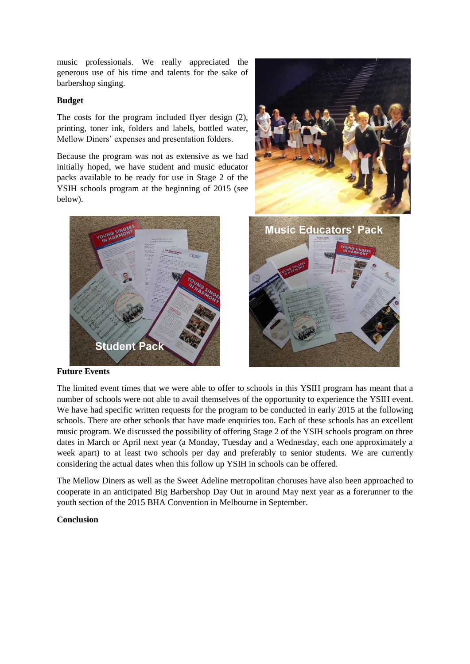music professionals. We really appreciated the generous use of his time and talents for the sake of barbershop singing.

## **Budget**

The costs for the program included flyer design (2), printing, toner ink, folders and labels, bottled water, Mellow Diners' expenses and presentation folders.

Because the program was not as extensive as we had initially hoped, we have student and music educator packs available to be ready for use in Stage 2 of the YSIH schools program at the beginning of 2015 (see below).





**Future Events**

The limited event times that we were able to offer to schools in this YSIH program has meant that a number of schools were not able to avail themselves of the opportunity to experience the YSIH event. We have had specific written requests for the program to be conducted in early 2015 at the following schools. There are other schools that have made enquiries too. Each of these schools has an excellent music program. We discussed the possibility of offering Stage 2 of the YSIH schools program on three dates in March or April next year (a Monday, Tuesday and a Wednesday, each one approximately a week apart) to at least two schools per day and preferably to senior students. We are currently considering the actual dates when this follow up YSIH in schools can be offered.

The Mellow Diners as well as the Sweet Adeline metropolitan choruses have also been approached to cooperate in an anticipated Big Barbershop Day Out in around May next year as a forerunner to the youth section of the 2015 BHA Convention in Melbourne in September.

# **Conclusion**